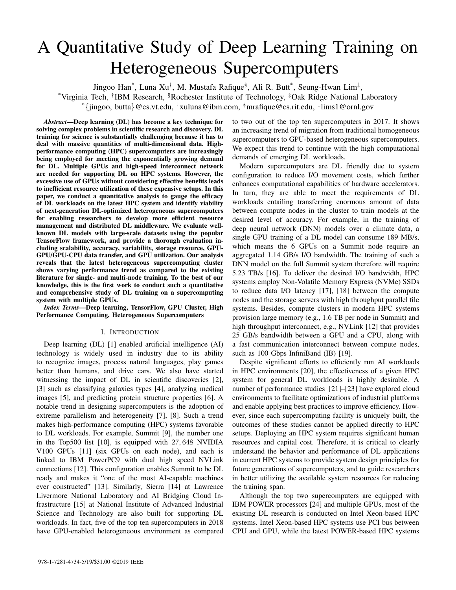# A Quantitative Study of Deep Learning Training on Heterogeneous Supercomputers

Jingoo Han<sup>\*</sup>, Luna Xu<sup>†</sup>, M. Mustafa Rafique<sup>§</sup>, Ali R. Butt<sup>\*</sup>, Seung-Hwan Lim<sup>‡</sup>,

\*Virginia Tech, <sup>†</sup>IBM Research, <sup>§</sup>Rochester Institute of Technology, <sup>‡</sup>Oak Ridge National Laboratory  $\text{*}$ {jingoo, butta}@cs.vt.edu,  $\text{+}$ xuluna@ibm.com,  $\text{+}$ mrafique@cs.rit.edu,  $\text{+}$ lims1@ornl.gov

*Abstract*—Deep learning (DL) has become a key technique for solving complex problems in scientific research and discovery. DL training for science is substantially challenging because it has to deal with massive quantities of multi-dimensional data. Highperformance computing (HPC) supercomputers are increasingly being employed for meeting the exponentially growing demand for DL. Multiple GPUs and high-speed interconnect network are needed for supporting DL on HPC systems. However, the excessive use of GPUs without considering effective benefits leads to inefficient resource utilization of these expensive setups. In this paper, we conduct a quantitative analysis to gauge the efficacy of DL workloads on the latest HPC system and identify viability of next-generation DL-optimized heterogeneous supercomputers for enabling researchers to develop more efficient resource management and distributed DL middleware. We evaluate wellknown DL models with large-scale datasets using the popular TensorFlow framework, and provide a thorough evaluation including scalability, accuracy, variability, storage resource, GPU-GPU/GPU-CPU data transfer, and GPU utilization. Our analysis reveals that the latest heterogeneous supercomputing cluster shows varying performance trend as compared to the existing literature for single- and multi-node training. To the best of our knowledge, this is the first work to conduct such a quantitative and comprehensive study of DL training on a supercomputing system with multiple GPUs.

*Index Terms*—Deep learning, TensorFlow, GPU Cluster, High Performance Computing, Heterogeneous Supercomputers

## I. INTRODUCTION

Deep learning (DL) [1] enabled artificial intelligence (AI) technology is widely used in industry due to its ability to recognize images, process natural languages, play games better than humans, and drive cars. We also have started witnessing the impact of DL in scientific discoveries [2], [3] such as classifying galaxies types [4], analyzing medical images [5], and predicting protein structure properties [6]. A notable trend in designing supercomputers is the adoption of extreme parallelism and heterogeneity [7], [8]. Such a trend makes high-performance computing (HPC) systems favorable to DL workloads. For example, Summit [9], the number one in the Top500 list [10], is equipped with 27, 648 NVIDIA V100 GPUs [11] (six GPUs on each node), and each is linked to IBM PowerPC9 with dual high speed NVLink connections [12]. This configuration enables Summit to be DL ready and makes it "one of the most AI-capable machines ever constructed" [13]. Similarly, Sierra [14] at Lawrence Livermore National Laboratory and AI Bridging Cloud Infrastructure [15] at National Institute of Advanced Industrial Science and Technology are also built for supporting DL workloads. In fact, five of the top ten supercomputers in 2018 have GPU-enabled heterogeneous environment as compared

to two out of the top ten supercomputers in 2017. It shows an increasing trend of migration from traditional homogeneous supercomputers to GPU-based heterogeneous supercomputers. We expect this trend to continue with the high computational demands of emerging DL workloads.

Modern supercomputers are DL friendly due to system configuration to reduce I/O movement costs, which further enhances computational capabilities of hardware accelerators. In turn, they are able to meet the requirements of DL workloads entailing transferring enormous amount of data between compute nodes in the cluster to train models at the desired level of accuracy. For example, in the training of deep neural network (DNN) models over a climate data, a single GPU training of a DL model can consume 189 MB/s, which means the 6 GPUs on a Summit node require an aggregated 1.14 GB/s I/O bandwidth. The training of such a DNN model on the full Summit system therefore will require 5.23 TB/s [16]. To deliver the desired I/O bandwidth, HPC systems employ Non-Volatile Memory Express (NVMe) SSDs to reduce data I/O latency [17], [18] between the compute nodes and the storage servers with high throughput parallel file systems. Besides, compute clusters in modern HPC systems provision large memory (e.g., 1.6 TB per node in Summit) and high throughput interconnect, e.g., NVLink [12] that provides 25 GB/s bandwidth between a GPU and a CPU, along with a fast communication interconnect between compute nodes, such as 100 Gbps InfiniBand (IB) [19].

Despite significant efforts to efficiently run AI workloads in HPC environments [20], the effectiveness of a given HPC system for general DL workloads is highly desirable. A number of performance studies [21]–[23] have explored cloud environments to facilitate optimizations of industrial platforms and enable applying best practices to improve efficiency. However, since each supercomputing facility is uniquely built, the outcomes of these studies cannot be applied directly to HPC setups. Deploying an HPC system requires significant human resources and capital cost. Therefore, it is critical to clearly understand the behavior and performance of DL applications in current HPC systems to provide system design principles for future generations of supercomputers, and to guide researchers in better utilizing the available system resources for reducing the training span.

Although the top two supercomputers are equipped with IBM POWER processors [24] and multiple GPUs, most of the existing DL research is conducted on Intel Xeon-based HPC systems. Intel Xeon-based HPC systems use PCI bus between CPU and GPU, while the latest POWER-based HPC systems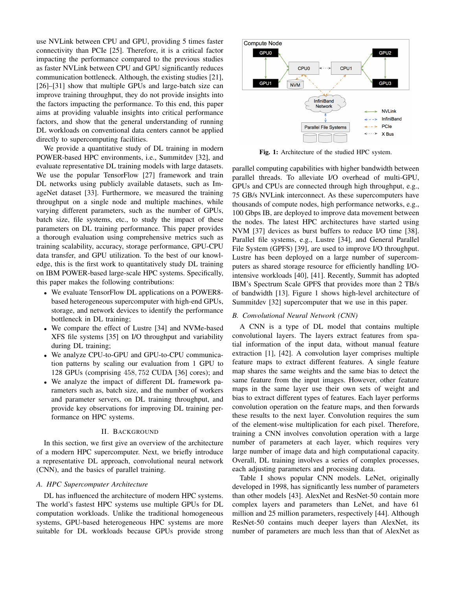use NVLink between CPU and GPU, providing 5 times faster connectivity than PCIe [25]. Therefore, it is a critical factor impacting the performance compared to the previous studies as faster NVLink between CPU and GPU significantly reduces communication bottleneck. Although, the existing studies [21], [26]–[31] show that multiple GPUs and large-batch size can improve training throughput, they do not provide insights into the factors impacting the performance. To this end, this paper aims at providing valuable insights into critical performance factors, and show that the general understanding of running DL workloads on conventional data centers cannot be applied directly to supercomputing facilities.

We provide a quantitative study of DL training in modern POWER-based HPC environments, i.e., Summitdev [32], and evaluate representative DL training models with large datasets. We use the popular TensorFlow [27] framework and train DL networks using publicly available datasets, such as ImageNet dataset [33]. Furthermore, we measured the training throughput on a single node and multiple machines, while varying different parameters, such as the number of GPUs, batch size, file systems, etc., to study the impact of these parameters on DL training performance. This paper provides a thorough evaluation using comprehensive metrics such as training scalability, accuracy, storage performance, GPU-CPU data transfer, and GPU utilization. To the best of our knowledge, this is the first work to quantitatively study DL training on IBM POWER-based large-scale HPC systems. Specifically, this paper makes the following contributions:

- We evaluate TensorFlow DL applications on a POWER8 based heterogeneous supercomputer with high-end GPUs, storage, and network devices to identify the performance bottleneck in DL training;
- We compare the effect of Lustre [34] and NVMe-based XFS file systems [35] on I/O throughput and variability during DL training;
- We analyze CPU-to-GPU and GPU-to-CPU communication patterns by scaling our evaluation from 1 GPU to 128 GPUs (comprising 458, 752 CUDA [36] cores); and
- We analyze the impact of different DL framework parameters such as, batch size, and the number of workers and parameter servers, on DL training throughput, and provide key observations for improving DL training performance on HPC systems.

#### II. BACKGROUND

In this section, we first give an overview of the architecture of a modern HPC supercomputer. Next, we briefly introduce a representative DL approach, convolutional neural network (CNN), and the basics of parallel training.

# *A. HPC Supercomputer Architecture*

DL has influenced the architecture of modern HPC systems. The world's fastest HPC systems use multiple GPUs for DL computation workloads. Unlike the traditional homogeneous systems, GPU-based heterogeneous HPC systems are more suitable for DL workloads because GPUs provide strong



Fig. 1: Architecture of the studied HPC system.

parallel computing capabilities with higher bandwidth between parallel threads. To alleviate I/O overhead of multi-GPU, GPUs and CPUs are connected through high throughput, e.g., 75 GB/s NVLink interconnect. As these supercomputers have thousands of compute nodes, high performance networks, e.g., 100 Gbps IB, are deployed to improve data movement between the nodes. The latest HPC architectures have started using NVM [37] devices as burst buffers to reduce I/O time [38]. Parallel file systems, e.g., Lustre [34], and General Parallel File System (GPFS) [39], are used to improve I/O throughput. Lustre has been deployed on a large number of supercomputers as shared storage resource for efficiently handling I/Ointensive workloads [40], [41]. Recently, Summit has adopted IBM's Spectrum Scale GPFS that provides more than 2 TB/s of bandwidth [13]. Figure 1 shows high-level architecture of Summitdev [32] supercomputer that we use in this paper.

#### *B. Convolutional Neural Network (CNN)*

A CNN is a type of DL model that contains multiple convolutional layers. The layers extract features from spatial information of the input data, without manual feature extraction [1], [42]. A convolution layer comprises multiple feature maps to extract different features. A single feature map shares the same weights and the same bias to detect the same feature from the input images. However, other feature maps in the same layer use their own sets of weight and bias to extract different types of features. Each layer performs convolution operation on the feature maps, and then forwards these results to the next layer. Convolution requires the sum of the element-wise multiplication for each pixel. Therefore, training a CNN involves convolution operation with a large number of parameters at each layer, which requires very large number of image data and high computational capacity. Overall, DL training involves a series of complex processes, each adjusting parameters and processing data.

Table I shows popular CNN models. LeNet, originally developed in 1998, has significantly less number of parameters than other models [43]. AlexNet and ResNet-50 contain more complex layers and parameters than LeNet, and have 61 million and 25 million parameters, respectively [44]. Although ResNet-50 contains much deeper layers than AlexNet, its number of parameters are much less than that of AlexNet as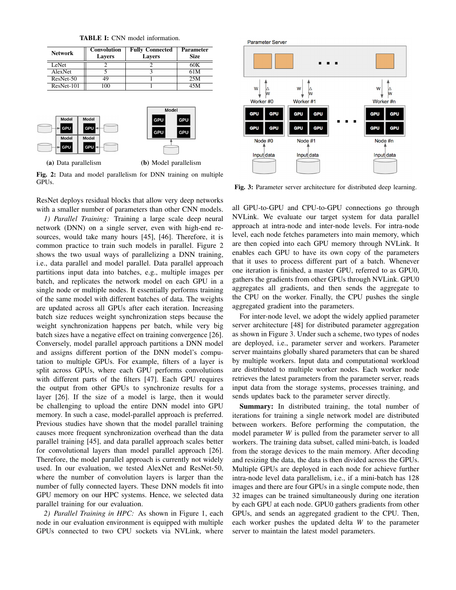TABLE I: CNN model information.

| <b>Network</b> | <b>Convolution</b><br>Lavers | <b>Fully Connected</b><br><b>Lavers</b> | Parameter<br><b>Size</b> |
|----------------|------------------------------|-----------------------------------------|--------------------------|
| LeNet          |                              |                                         | 50K                      |
| AlexNet        |                              |                                         | 61M                      |
| ResNet-50      |                              |                                         | 25M                      |
| ResNet-101     |                              |                                         | 45M                      |



Fig. 2: Data and model parallelism for DNN training on multiple GPUs.

ResNet deploys residual blocks that allow very deep networks with a smaller number of parameters than other CNN models.

*1) Parallel Training:* Training a large scale deep neural network (DNN) on a single server, even with high-end resources, would take many hours [45], [46]. Therefore, it is common practice to train such models in parallel. Figure 2 shows the two usual ways of parallelizing a DNN training, i.e., data parallel and model parallel. Data parallel approach partitions input data into batches, e.g., multiple images per batch, and replicates the network model on each GPU in a single node or multiple nodes. It essentially performs training of the same model with different batches of data. The weights are updated across all GPUs after each iteration. Increasing batch size reduces weight synchronization steps because the weight synchronization happens per batch, while very big batch sizes have a negative effect on training convergence [26]. Conversely, model parallel approach partitions a DNN model and assigns different portion of the DNN model's computation to multiple GPUs. For example, filters of a layer is split across GPUs, where each GPU performs convolutions with different parts of the filters [47]. Each GPU requires the output from other GPUs to synchronize results for a layer [26]. If the size of a model is large, then it would be challenging to upload the entire DNN model into GPU memory. In such a case, model-parallel approach is preferred. Previous studies have shown that the model parallel training causes more frequent synchronization overhead than the data parallel training [45], and data parallel approach scales better for convolutional layers than model parallel approach [26]. Therefore, the model parallel approach is currently not widely used. In our evaluation, we tested AlexNet and ResNet-50, where the number of convolution layers is larger than the number of fully connected layers. These DNN models fit into GPU memory on our HPC systems. Hence, we selected data parallel training for our evaluation.

*2) Parallel Training in HPC:* As shown in Figure 1, each node in our evaluation environment is equipped with multiple GPUs connected to two CPU sockets via NVLink, where



Fig. 3: Parameter server architecture for distributed deep learning.

all GPU-to-GPU and CPU-to-GPU connections go through NVLink. We evaluate our target system for data parallel approach at intra-node and inter-node levels. For intra-node level, each node fetches parameters into main memory, which are then copied into each GPU memory through NVLink. It enables each GPU to have its own copy of the parameters that it uses to process different part of a batch. Whenever one iteration is finished, a master GPU, referred to as GPU0, gathers the gradients from other GPUs through NVLink. GPU0 aggregates all gradients, and then sends the aggregate to the CPU on the worker. Finally, the CPU pushes the single aggregated gradient into the parameters.

For inter-node level, we adopt the widely applied parameter server architecture [48] for distributed parameter aggregation as shown in Figure 3. Under such a scheme, two types of nodes are deployed, i.e., parameter server and workers. Parameter server maintains globally shared parameters that can be shared by multiple workers. Input data and computational workload are distributed to multiple worker nodes. Each worker node retrieves the latest parameters from the parameter server, reads input data from the storage systems, processes training, and sends updates back to the parameter server directly.

Summary: In distributed training, the total number of iterations for training a single network model are distributed between workers. Before performing the computation, the model parameter *W* is pulled from the parameter server to all workers. The training data subset, called mini-batch, is loaded from the storage devices to the main memory. After decoding and resizing the data, the data is then divided across the GPUs. Multiple GPUs are deployed in each node for achieve further intra-node level data parallelism, i.e., if a mini-batch has 128 images and there are four GPUs in a single compute node, then 32 images can be trained simultaneously during one iteration by each GPU at each node. GPU0 gathers gradients from other GPUs, and sends an aggregated gradient to the CPU. Then, each worker pushes the updated delta *W* to the parameter server to maintain the latest model parameters.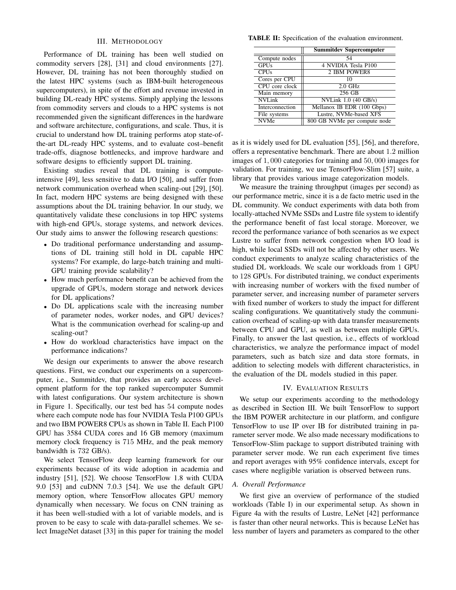#### III. METHODOLOGY

Performance of DL training has been well studied on commodity servers [28], [31] and cloud environments [27]. However, DL training has not been thoroughly studied on the latest HPC systems (such as IBM-built heterogeneous supercomputers), in spite of the effort and revenue invested in building DL-ready HPC systems. Simply applying the lessons from commodity servers and clouds to a HPC systems is not recommended given the significant differences in the hardware and software architecture, configurations, and scale. Thus, it is crucial to understand how DL training performs atop state-ofthe-art DL-ready HPC systems, and to evaluate cost–benefit trade-offs, diagnose bottlenecks, and improve hardware and software designs to efficiently support DL training.

Existing studies reveal that DL training is computeintensive [49], less sensitive to data I/O [50], and suffer from network communication overhead when scaling-out [29], [50]. In fact, modern HPC systems are being designed with these assumptions about the DL training behavior. In our study, we quantitatively validate these conclusions in top HPC systems with high-end GPUs, storage systems, and network devices. Our study aims to answer the following research questions:

- Do traditional performance understanding and assumptions of DL training still hold in DL capable HPC systems? For example, do large-batch training and multi-GPU training provide scalability?
- How much performance benefit can be achieved from the upgrade of GPUs, modern storage and network devices for DL applications?
- Do DL applications scale with the increasing number of parameter nodes, worker nodes, and GPU devices? What is the communication overhead for scaling-up and scaling-out?
- How do workload characteristics have impact on the performance indications?

We design our experiments to answer the above research questions. First, we conduct our experiments on a supercomputer, i.e., Summitdev, that provides an early access development platform for the top ranked supercomputer Summit with latest configurations. Our system architecture is shown in Figure 1. Specifically, our test bed has 54 compute nodes where each compute node has four NVIDIA Tesla P100 GPUs and two IBM POWER8 CPUs as shown in Table II. Each P100 GPU has 3584 CUDA cores and 16 GB memory (maximum memory clock frequency is 715 MHz, and the peak memory bandwidth is 732 GB/s).

We select TensorFlow deep learning framework for our experiments because of its wide adoption in academia and industry [51], [52]. We choose TensorFlow 1.8 with CUDA 9.0 [53] and cuDNN 7.0.3 [54]. We use the default GPU memory option, where TensorFlow allocates GPU memory dynamically when necessary. We focus on CNN training as it has been well-studied with a lot of variable models, and is proven to be easy to scale with data-parallel schemes. We select ImageNet dataset [33] in this paper for training the model

TABLE II: Specification of the evaluation environment.

|                 | <b>Summitdev Supercomputer</b> |
|-----------------|--------------------------------|
| Compute nodes   | 54                             |
| <b>GPUs</b>     | 4 NVIDIA Tesla P100            |
| <b>CPUs</b>     | 2 IBM POWER8                   |
| Cores per CPU   | 10                             |
| CPU core clock  | $2.0$ GHz                      |
| Main memory     | 256 GB                         |
| <b>NVLink</b>   | NVLink 1.0 (40 GB/s)           |
| Interconnection | Mellanox IB EDR (100 Gbps)     |
| File systems    | Lustre, NVMe-based XFS         |
| <b>NVMe</b>     | 800 GB NVMe per compute node   |

as it is widely used for DL evaluation [55], [56], and therefore, offers a representative benchmark. There are about 1.2 million images of 1, 000 categories for training and 50, 000 images for validation. For training, we use TensorFlow-Slim [57] suite, a library that provides various image categorization models.

We measure the training throughput (images per second) as our performance metric, since it is a de facto metric used in the DL community. We conduct experiments with data both from locally-attached NVMe SSDs and Lustre file system to identify the performance benefit of fast local storage. Moreover, we record the performance variance of both scenarios as we expect Lustre to suffer from network congestion when I/O load is high, while local SSDs will not be affected by other users. We conduct experiments to analyze scaling characteristics of the studied DL workloads. We scale our workloads from 1 GPU to 128 GPUs. For distributed training, we conduct experiments with increasing number of workers with the fixed number of parameter server, and increasing number of parameter servers with fixed number of workers to study the impact for different scaling configurations. We quantitatively study the communication overhead of scaling-up with data transfer measurements between CPU and GPU, as well as between multiple GPUs. Finally, to answer the last question, i.e., effects of workload characteristics, we analyze the performance impact of model parameters, such as batch size and data store formats, in addition to selecting models with different characteristics, in the evaluation of the DL models studied in this paper.

### IV. EVALUATION RESULTS

We setup our experiments according to the methodology as described in Section III. We built TensorFlow to support the IBM POWER architecture in our platform, and configure TensorFlow to use IP over IB for distributed training in parameter server mode. We also made necessary modifications to TensorFlow-Slim package to support distributed training with parameter server mode. We run each experiment five times and report averages with 95% confidence intervals, except for cases where negligible variation is observed between runs.

## *A. Overall Performance*

We first give an overview of performance of the studied workloads (Table I) in our experimental setup. As shown in Figure 4a with the results of Lustre, LeNet [42] performance is faster than other neural networks. This is because LeNet has less number of layers and parameters as compared to the other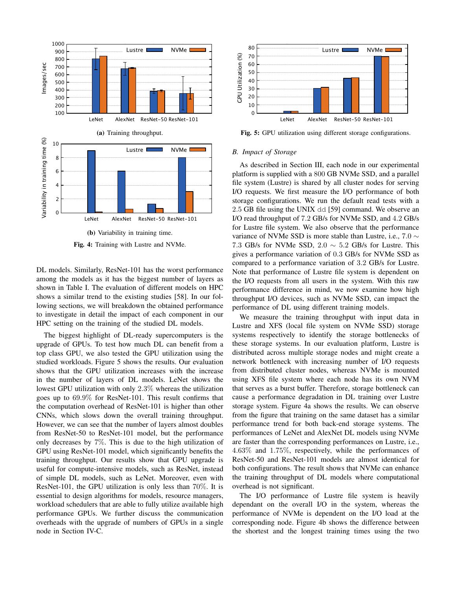

Fig. 4: Training with Lustre and NVMe.

DL models. Similarly, ResNet-101 has the worst performance among the models as it has the biggest number of layers as shown in Table I. The evaluation of different models on HPC shows a similar trend to the existing studies [58]. In our following sections, we will breakdown the obtained performance to investigate in detail the impact of each component in our HPC setting on the training of the studied DL models.

The biggest highlight of DL-ready supercomputers is the upgrade of GPUs. To test how much DL can benefit from a top class GPU, we also tested the GPU utilization using the studied workloads. Figure 5 shows the results. Our evaluation shows that the GPU utilization increases with the increase in the number of layers of DL models. LeNet shows the lowest GPU utilization with only 2.3% whereas the utilization goes up to 69.9% for ResNet-101. This result confirms that the computation overhead of ResNet-101 is higher than other CNNs, which slows down the overall training throughput. However, we can see that the number of layers almost doubles from ResNet-50 to ResNet-101 model, but the performance only decreases by 7%. This is due to the high utilization of GPU using ResNet-101 model, which significantly benefits the training throughput. Our results show that GPU upgrade is useful for compute-intensive models, such as ResNet, instead of simple DL models, such as LeNet. Moreover, even with ResNet-101, the GPU utilization is only less than 70%. It is essential to design algorithms for models, resource managers, workload schedulers that are able to fully utilize available high performance GPUs. We further discuss the communication overheads with the upgrade of numbers of GPUs in a single node in Section IV-C.



Fig. 5: GPU utilization using different storage configurations.

# *B. Impact of Storage*

As described in Section III, each node in our experimental platform is supplied with a 800 GB NVMe SSD, and a parallel file system (Lustre) is shared by all cluster nodes for serving I/O requests. We first measure the I/O performance of both storage configurations. We run the default read tests with a 2.5 GB file using the UNIX dd [59] command. We observe an I/O read throughput of 7.2 GB/s for NVMe SSD, and 4.2 GB/s for Lustre file system. We also observe that the performance variance of NVMe SSD is more stable than Lustre, i.e.,  $7.0 \sim$ 7.3 GB/s for NVMe SSD,  $2.0 \sim 5.2$  GB/s for Lustre. This gives a performance variation of 0.3 GB/s for NVMe SSD as compared to a performance variation of 3.2 GB/s for Lustre. Note that performance of Lustre file system is dependent on the I/O requests from all users in the system. With this raw performance difference in mind, we now examine how high throughput I/O devices, such as NVMe SSD, can impact the performance of DL using different training models.

We measure the training throughput with input data in Lustre and XFS (local file system on NVMe SSD) storage systems respectively to identify the storage bottlenecks of these storage systems. In our evaluation platform, Lustre is distributed across multiple storage nodes and might create a network bottleneck with increasing number of I/O requests from distributed cluster nodes, whereas NVMe is mounted using XFS file system where each node has its own NVM that serves as a burst buffer. Therefore, storage bottleneck can cause a performance degradation in DL training over Lustre storage system. Figure 4a shows the results. We can observe from the figure that training on the same dataset has a similar performance trend for both back-end storage systems. The performances of LeNet and AlexNet DL models using NVMe are faster than the corresponding performances on Lustre, i.e., 4.63% and 1.75%, respectively, while the performances of ResNet-50 and ResNet-101 models are almost identical for both configurations. The result shows that NVMe can enhance the training throughput of DL models where computational overhead is not significant.

The I/O performance of Lustre file system is heavily dependant on the overall I/O in the system, whereas the performance of NVMe is dependent on the I/O load at the corresponding node. Figure 4b shows the difference between the shortest and the longest training times using the two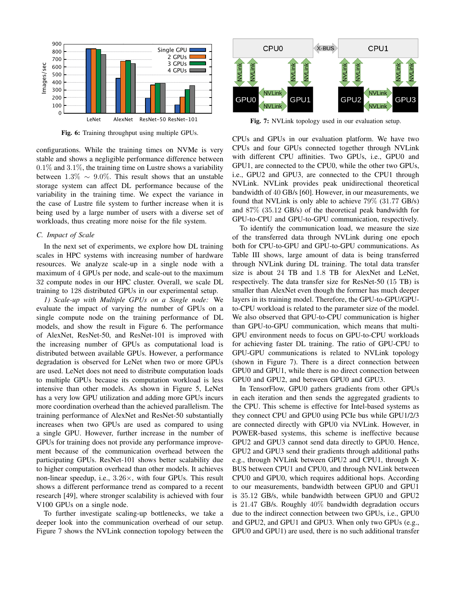

Fig. 6: Training throughput using multiple GPUs.

configurations. While the training times on NVMe is very stable and shows a negligible performance difference between  $0.1\%$  and  $3.1\%$ , the training time on Lustre shows a variability between  $1.3\% \sim 9.0\%$ . This result shows that an unstable storage system can affect DL performance because of the variability in the training time. We expect the variance in the case of Lustre file system to further increase when it is being used by a large number of users with a diverse set of workloads, thus creating more noise for the file system.

#### *C. Impact of Scale*

In the next set of experiments, we explore how DL training scales in HPC systems with increasing number of hardware resources. We analyze scale-up in a single node with a maximum of 4 GPUs per node, and scale-out to the maximum 32 compute nodes in our HPC cluster. Overall, we scale DL training to 128 distributed GPUs in our experimental setup.

*1) Scale-up with Multiple GPUs on a Single node:* We evaluate the impact of varying the number of GPUs on a single compute node on the training performance of DL models, and show the result in Figure 6. The performance of AlexNet, ResNet-50, and ResNet-101 is improved with the increasing number of GPUs as computational load is distributed between available GPUs. However, a performance degradation is observed for LeNet when two or more GPUs are used. LeNet does not need to distribute computation loads to multiple GPUs because its computation workload is less intensive than other models. As shown in Figure 5, LeNet has a very low GPU utilization and adding more GPUs incurs more coordination overhead than the achieved parallelism. The training performance of AlexNet and ResNet-50 substantially increases when two GPUs are used as compared to using a single GPU. However, further increase in the number of GPUs for training does not provide any performance improvement because of the communication overhead between the participating GPUs. ResNet-101 shows better scalability due to higher computation overhead than other models. It achieves non-linear speedup, i.e.,  $3.26 \times$ , with four GPUs. This result shows a different performance trend as compared to a recent research [49], where stronger scalability is achieved with four V100 GPUs on a single node.

To further investigate scaling-up bottlenecks, we take a deeper look into the communication overhead of our setup. Figure 7 shows the NVLink connection topology between the



Fig. 7: NVLink topology used in our evaluation setup.

CPUs and GPUs in our evaluation platform. We have two CPUs and four GPUs connected together through NVLink with different CPU affinities. Two GPUs, i.e., GPU0 and GPU1, are connected to the CPU0, while the other two GPUs, i.e., GPU2 and GPU3, are connected to the CPU1 through NVLink. NVLink provides peak unidirectional theoretical bandwidth of 40 GB/s [60]. However, in our measurements, we found that NVLink is only able to achieve 79% (31.77 GB/s) and 87% (35.12 GB/s) of the theoretical peak bandwidth for GPU-to-CPU and GPU-to-GPU communication, respectively.

To identify the communication load, we measure the size of the transferred data through NVLink during one epoch both for CPU-to-GPU and GPU-to-GPU communications. As Table III shows, large amount of data is being transferred through NVLink during DL training. The total data transfer size is about 24 TB and 1.8 TB for AlexNet and LeNet, respectively. The data transfer size for ResNet-50 (15 TB) is smaller than AlexNet even though the former has much deeper layers in its training model. Therefore, the GPU-to-GPU/GPUto-CPU workload is related to the parameter size of the model. We also observed that GPU-to-CPU communication is higher than GPU-to-GPU communication, which means that multi-GPU environment needs to focus on GPU-to-CPU workloads for achieving faster DL training. The ratio of GPU-CPU to GPU-GPU communications is related to NVLink topology (shown in Figure 7). There is a direct connection between GPU0 and GPU1, while there is no direct connection between GPU0 and GPU2, and between GPU0 and GPU3.

In TensorFlow, GPU0 gathers gradients from other GPUs in each iteration and then sends the aggregated gradients to the CPU. This scheme is effective for Intel-based systems as they connect CPU and GPU0 using PCIe bus while GPU1/2/3 are connected directly with GPU0 via NVLink. However, in POWER-based systems, this scheme is ineffective because GPU2 and GPU3 cannot send data directly to GPU0. Hence, GPU2 and GPU3 send their gradients through additional paths e.g., through NVLink between GPU2 and CPU1, through X-BUS between CPU1 and CPU0, and through NVLink between CPU0 and GPU0, which requires additional hops. According to our measurements, bandwidth between GPU0 and GPU1 is 35.12 GB/s, while bandwidth between GPU0 and GPU2 is 21.47 GB/s. Roughly 40% bandwidth degradation occurs due to the indirect connection between two GPUs, i.e., GPU0 and GPU2, and GPU1 and GPU3. When only two GPUs (e.g., GPU0 and GPU1) are used, there is no such additional transfer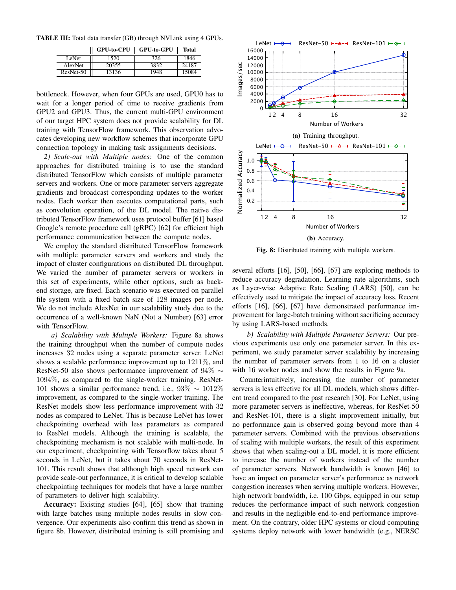TABLE III: Total data transfer (GB) through NVLink using 4 GPUs.

|           | <b>GPU-to-CPU</b> | <b>GPU-to-GPU</b> | <b>Total</b> |
|-----------|-------------------|-------------------|--------------|
| LeNet     | 1520              | 326               | 1846         |
| AlexNet   | 20355             | 3832              | 24187        |
| ResNet-50 | 13136             | 1948              | 15084        |

bottleneck. However, when four GPUs are used, GPU0 has to wait for a longer period of time to receive gradients from GPU2 and GPU3. Thus, the current multi-GPU environment of our target HPC system does not provide scalability for DL training with TensorFlow framework. This observation advocates developing new workflow schemes that incorporate GPU connection topology in making task assignments decisions.

*2) Scale-out with Multiple nodes:* One of the common approaches for distributed training is to use the standard distributed TensorFlow which consists of multiple parameter servers and workers. One or more parameter servers aggregate gradients and broadcast corresponding updates to the worker nodes. Each worker then executes computational parts, such as convolution operation, of the DL model. The native distributed TensorFlow framework uses protocol buffer [61] based Google's remote procedure call (gRPC) [62] for efficient high performance communication between the compute nodes.

We employ the standard distributed TensorFlow framework with multiple parameter servers and workers and study the impact of cluster configurations on distributed DL throughput. We varied the number of parameter servers or workers in this set of experiments, while other options, such as backend storage, are fixed. Each scenario was executed on parallel file system with a fixed batch size of 128 images per node. We do not include AlexNet in our scalability study due to the occurrence of a well-known NaN (Not a Number) [63] error with TensorFlow.

*a) Scalability with Multiple Workers:* Figure 8a shows the training throughput when the number of compute nodes increases 32 nodes using a separate parameter server. LeNet shows a scalable performance improvement up to 1211%, and ResNet-50 also shows performance improvement of 94%  $\sim$ 1094%, as compared to the single-worker training. ResNet-101 shows a similar performance trend, i.e.,  $93\% \sim 1012\%$ improvement, as compared to the single-worker training. The ResNet models show less performance improvement with 32 nodes as compared to LeNet. This is because LeNet has lower checkpointing overhead with less parameters as compared to ResNet models. Although the training is scalable, the checkpointing mechanism is not scalable with multi-node. In our experiment, checkpointing with Tensorflow takes about 5 seconds in LeNet, but it takes about 70 seconds in ResNet-101. This result shows that although high speed network can provide scale-out performance, it is critical to develop scalable checkpointing techniques for models that have a large number of parameters to deliver high scalability.

Accuracy: Existing studies [64], [65] show that training with large batches using multiple nodes results in slow convergence. Our experiments also confirm this trend as shown in figure 8b. However, distributed training is still promising and



Fig. 8: Distributed training with multiple workers.

several efforts [16], [50], [66], [67] are exploring methods to reduce accuracy degradation. Learning rate algorithms, such as Layer-wise Adaptive Rate Scaling (LARS) [50], can be effectively used to mitigate the impact of accuracy loss. Recent efforts [16], [66], [67] have demonstrated performance improvement for large-batch training without sacrificing accuracy by using LARS-based methods.

*b) Scalability with Multiple Parameter Servers:* Our previous experiments use only one parameter server. In this experiment, we study parameter server scalability by increasing the number of parameter servers from 1 to 16 on a cluster with 16 worker nodes and show the results in Figure 9a.

Counterintuitively, increasing the number of parameter servers is less effective for all DL models, which shows different trend compared to the past research [30]. For LeNet, using more parameter servers is ineffective, whereas, for ResNet-50 and ResNet-101, there is a slight improvement initially, but no performance gain is observed going beyond more than 4 parameter servers. Combined with the previous observations of scaling with multiple workers, the result of this experiment shows that when scaling-out a DL model, it is more efficient to increase the number of workers instead of the number of parameter servers. Network bandwidth is known [46] to have an impact on parameter server's performance as network congestion increases when serving multiple workers. However, high network bandwidth, i.e. 100 Gbps, equipped in our setup reduces the performance impact of such network congestion and results in the negligible end-to-end performance improvement. On the contrary, older HPC systems or cloud computing systems deploy network with lower bandwidth (e.g., NERSC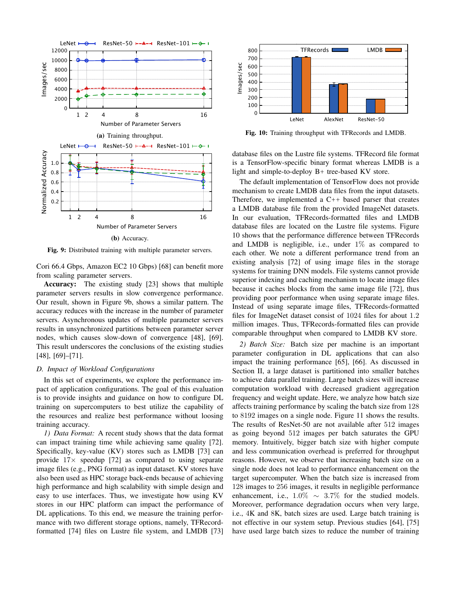

Fig. 9: Distributed training with multiple parameter servers.

Cori 66.4 Gbps, Amazon EC2 10 Gbps) [68] can benefit more from scaling parameter servers.

Accuracy: The existing study [23] shows that multiple parameter servers results in slow convergence performance. Our result, shown in Figure 9b, shows a similar pattern. The accuracy reduces with the increase in the number of parameter servers. Asynchronous updates of multiple parameter servers results in unsynchronized partitions between parameter server nodes, which causes slow-down of convergence [48], [69]. This result underscores the conclusions of the existing studies [48], [69]–[71].

## *D. Impact of Workload Configurations*

In this set of experiments, we explore the performance impact of application configurations. The goal of this evaluation is to provide insights and guidance on how to configure DL training on supercomputers to best utilize the capability of the resources and realize best performance without loosing training accuracy.

*1) Data Format:* A recent study shows that the data format can impact training time while achieving same quality [72]. Specifically, key-value (KV) stores such as LMDB [73] can provide  $17\times$  speedup [72] as compared to using separate image files (e.g., PNG format) as input dataset. KV stores have also been used as HPC storage back-ends because of achieving high performance and high scalability with simple design and easy to use interfaces. Thus, we investigate how using KV stores in our HPC platform can impact the performance of DL applications. To this end, we measure the training performance with two different storage options, namely, TFRecordformatted [74] files on Lustre file system, and LMDB [73]



Fig. 10: Training throughput with TFRecords and LMDB.

database files on the Lustre file systems. TFRecord file format is a TensorFlow-specific binary format whereas LMDB is a light and simple-to-deploy B+ tree-based KV store.

The default implementation of TensorFlow does not provide mechanism to create LMDB data files from the input datasets. Therefore, we implemented a  $C_{++}$  based parser that creates a LMDB database file from the provided ImageNet datasets. In our evaluation, TFRecords-formatted files and LMDB database files are located on the Lustre file systems. Figure 10 shows that the performance difference between TFRecords and LMDB is negligible, i.e., under  $1\%$  as compared to each other. We note a different performance trend from an existing analysis [72] of using image files in the storage systems for training DNN models. File systems cannot provide superior indexing and caching mechanism to locate image files because it caches blocks from the same image file [72], thus providing poor performance when using separate image files. Instead of using separate image files, TFRecords-formatted files for ImageNet dataset consist of 1024 files for about 1.2 million images. Thus, TFRecords-formatted files can provide comparable throughput when compared to LMDB KV store.

*2) Batch Size:* Batch size per machine is an important parameter configuration in DL applications that can also impact the training performance [65], [66]. As discussed in Section II, a large dataset is partitioned into smaller batches to achieve data parallel training. Large batch sizes will increase computation workload with decreased gradient aggregation frequency and weight update. Here, we analyze how batch size affects training performance by scaling the batch size from 128 to 8192 images on a single node. Figure 11 shows the results. The results of ResNet-50 are not available after 512 images as going beyond 512 images per batch saturates the GPU memory. Intuitively, bigger batch size with higher compute and less communication overhead is preferred for throughput reasons. However, we observe that increasing batch size on a single node does not lead to performance enhancement on the target supercomputer. When the batch size is increased from 128 images to 256 images, it results in negligible performance enhancement, i.e.,  $1.0\% \sim 3.7\%$  for the studied models. Moreover, performance degradation occurs when very large, i.e., 4K and 8K, batch sizes are used. Large batch training is not effective in our system setup. Previous studies [64], [75] have used large batch sizes to reduce the number of training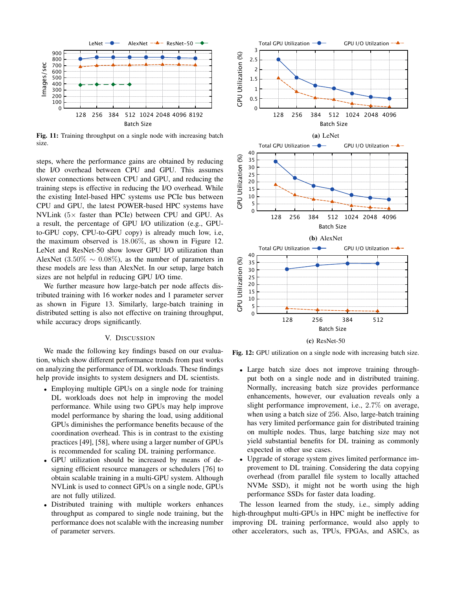

Fig. 11: Training throughput on a single node with increasing batch size.

steps, where the performance gains are obtained by reducing the I/O overhead between CPU and GPU. This assumes slower connections between CPU and GPU, and reducing the training steps is effective in reducing the I/O overhead. While the existing Intel-based HPC systems use PCIe bus between CPU and GPU, the latest POWER-based HPC systems have NVLink  $(5\times)$  faster than PCIe) between CPU and GPU. As a result, the percentage of GPU I/O utilization (e.g., GPUto-GPU copy, CPU-to-GPU copy) is already much low, i.e, the maximum observed is 18.06%, as shown in Figure 12. LeNet and ResNet-50 show lower GPU I/O utilization than AlexNet (3.50%  $\sim 0.08\%$ ), as the number of parameters in these models are less than AlexNet. In our setup, large batch sizes are not helpful in reducing GPU I/O time.

We further measure how large-batch per node affects distributed training with 16 worker nodes and 1 parameter server as shown in Figure 13. Similarly, large-batch training in distributed setting is also not effective on training throughput, while accuracy drops significantly.

## V. DISCUSSION

We made the following key findings based on our evaluation, which show different performance trends from past works on analyzing the performance of DL workloads. These findings help provide insights to system designers and DL scientists.

- Employing multiple GPUs on a single node for training DL workloads does not help in improving the model performance. While using two GPUs may help improve model performance by sharing the load, using additional GPUs diminishes the performance benefits because of the coordination overhead. This is in contrast to the existing practices [49], [58], where using a larger number of GPUs is recommended for scaling DL training performance.
- GPU utilization should be increased by means of designing efficient resource managers or schedulers [76] to obtain scalable training in a multi-GPU system. Although NVLink is used to connect GPUs on a single node, GPUs are not fully utilized.
- Distributed training with multiple workers enhances throughput as compared to single node training, but the performance does not scalable with the increasing number of parameter servers.



Fig. 12: GPU utilization on a single node with increasing batch size.

- Large batch size does not improve training throughput both on a single node and in distributed training. Normally, increasing batch size provides performance enhancements, however, our evaluation reveals only a slight performance improvement, i.e., 2.7% on average, when using a batch size of 256. Also, large-batch training has very limited performance gain for distributed training on multiple nodes. Thus, large batching size may not yield substantial benefits for DL training as commonly expected in other use cases.
- Upgrade of storage system gives limited performance improvement to DL training. Considering the data copying overhead (from parallel file system to locally attached NVMe SSD), it might not be worth using the high performance SSDs for faster data loading.

The lesson learned from the study, i.e., simply adding high-throughput multi-GPUs in HPC might be ineffective for improving DL training performance, would also apply to other accelerators, such as, TPUs, FPGAs, and ASICs, as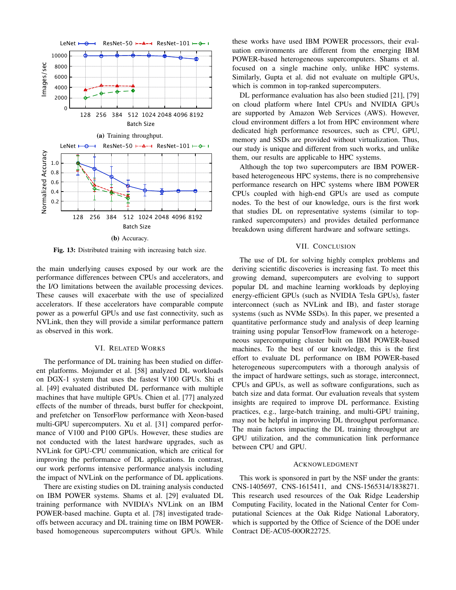

Fig. 13: Distributed training with increasing batch size.

the main underlying causes exposed by our work are the performance differences between CPUs and accelerators, and the I/O limitations between the available processing devices. These causes will exacerbate with the use of specialized accelerators. If these accelerators have comparable compute power as a powerful GPUs and use fast connectivity, such as NVLink, then they will provide a similar performance pattern as observed in this work.

#### VI. RELATED WORKS

The performance of DL training has been studied on different platforms. Mojumder et al. [58] analyzed DL workloads on DGX-1 system that uses the fastest V100 GPUs. Shi et al. [49] evaluated distributed DL performance with multiple machines that have multiple GPUs. Chien et al. [77] analyzed effects of the number of threads, burst buffer for checkpoint, and prefetcher on TensorFlow performance with Xeon-based multi-GPU supercomputers. Xu et al. [31] compared performance of V100 and P100 GPUs. However, these studies are not conducted with the latest hardware upgrades, such as NVLink for GPU-CPU communication, which are critical for improving the performance of DL applications. In contrast, our work performs intensive performance analysis including the impact of NVLink on the performance of DL applications.

There are existing studies on DL training analysis conducted on IBM POWER systems. Shams et al. [29] evaluated DL training performance with NVIDIA's NVLink on an IBM POWER-based machine. Gupta et al. [78] investigated tradeoffs between accuracy and DL training time on IBM POWERbased homogeneous supercomputers without GPUs. While these works have used IBM POWER processors, their evaluation environments are different from the emerging IBM POWER-based heterogeneous supercomputers. Shams et al. focused on a single machine only, unlike HPC systems. Similarly, Gupta et al. did not evaluate on multiple GPUs, which is common in top-ranked supercomputers.

DL performance evaluation has also been studied [21], [79] on cloud platform where Intel CPUs and NVIDIA GPUs are supported by Amazon Web Services (AWS). However, cloud environment differs a lot from HPC environment where dedicated high performance resources, such as CPU, GPU, memory and SSDs are provided without virtualization. Thus, our study is unique and different from such works, and unlike them, our results are applicable to HPC systems.

Although the top two supercomputers are IBM POWERbased heterogeneous HPC systems, there is no comprehensive performance research on HPC systems where IBM POWER CPUs coupled with high-end GPUs are used as compute nodes. To the best of our knowledge, ours is the first work that studies DL on representative systems (similar to topranked supercomputers) and provides detailed performance breakdown using different hardware and software settings.

## VII. CONCLUSION

The use of DL for solving highly complex problems and deriving scientific discoveries is increasing fast. To meet this growing demand, supercomputers are evolving to support popular DL and machine learning workloads by deploying energy-efficient GPUs (such as NVIDIA Tesla GPUs), faster interconnect (such as NVLink and IB), and faster storage systems (such as NVMe SSDs). In this paper, we presented a quantitative performance study and analysis of deep learning training using popular TensorFlow framework on a heterogeneous supercomputing cluster built on IBM POWER-based machines. To the best of our knowledge, this is the first effort to evaluate DL performance on IBM POWER-based heterogeneous supercomputers with a thorough analysis of the impact of hardware settings, such as storage, interconnect, CPUs and GPUs, as well as software configurations, such as batch size and data format. Our evaluation reveals that system insights are required to improve DL performance. Existing practices, e.g., large-batch training, and multi-GPU training, may not be helpful in improving DL throughput performance. The main factors impacting the DL training throughput are GPU utilization, and the communication link performance between CPU and GPU.

#### ACKNOWLEDGMENT

This work is sponsored in part by the NSF under the grants: CNS-1405697, CNS-1615411, and CNS-1565314/1838271. This research used resources of the Oak Ridge Leadership Computing Facility, located in the National Center for Computational Sciences at the Oak Ridge National Laboratory, which is supported by the Office of Science of the DOE under Contract DE-AC05-00OR22725.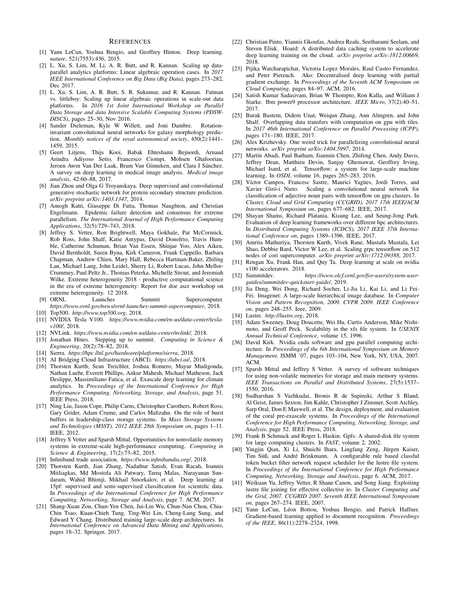#### **REFERENCES**

- [1] Yann LeCun, Yoshua Bengio, and Geoffrey Hinton. Deep learning. *nature*, 521(7553):436, 2015.
- [2] L. Xu, S. Lim, M. Li, A. R. Butt, and R. Kannan. Scaling up dataparallel analytics platforms: Linear algebraic operation cases. In *2017 IEEE International Conference on Big Data (Big Data)*, pages 273–282, Dec 2017.
- [3] L. Xu, S. Lim, A. R. Butt, S. R. Sukumar, and R. Kannan. Fatman vs. littleboy: Scaling up linear algebraic operations in scale-out data platforms. In *2016 1st Joint International Workshop on Parallel Data Storage and data Intensive Scalable Computing Systems (PDSW-DISCS)*, pages 25–30, Nov 2016.
- [4] Sander Dieleman, Kyle W Willett, and Joni Dambre. Rotationinvariant convolutional neural networks for galaxy morphology prediction. *Monthly notices of the royal astronomical society*, 450(2):1441– 1459, 2015.
- [5] Geert Litjens, Thijs Kooi, Babak Ehteshami Bejnordi, Arnaud Arindra Adiyoso Setio, Francesco Ciompi, Mohsen Ghafoorian, Jeroen Awm Van Der Laak, Bram Van Ginneken, and Clara I Sánchez. A survey on deep learning in medical image analysis. *Medical image analysis*, 42:60–88, 2017.
- [6] Jian Zhou and Olga G Troyanskaya. Deep supervised and convolutional generative stochastic network for protein secondary structure prediction. *arXiv preprint arXiv:1403.1347*, 2014.
- [7] Amogh Katti, Giuseppe Di Fatta, Thomas Naughton, and Christian Engelmann. Epidemic failure detection and consensus for extreme parallelism. *The International Journal of High Performance Computing Applications*, 32(5):729–743, 2018.
- [8] Jeffrey S. Vetter, Ron Brightwell, Maya Gokhale, Pat McCormick, Rob Ross, John Shalf, Katie Antypas, David Donofrio, Travis Humble, Catherine Schuman, Brian Van Essen, Shinjae Yoo, Alex Aiken, David Bernholdt, Suren Byna, Kirk Cameron, Frank Cappello, Barbara Chapman, Andrew Chien, Mary Hall, Rebecca Hartman-Baker, Zhiling Lan, Michael Lang, John Leidel, Sherry Li, Robert Lucas, John Mellor-Crummey, Paul Peltz Jr., Thomas Peterka, Michelle Strout, and Jeremiah Wilke. Extreme heterogeneity 2018 - productive computational science in the era of extreme heterogeneity: Report for doe ascr workshop on extreme heterogeneity. 12 2018.<br>[9] ORNL Launches
- **Launches** Summit Supercomputer. *https://www.ornl.gov/news/ornl-launches-summit-supercomputer*, 2018.
- [10] Top500. *http://www.top500.org*, 2018.
- [11] NVIDIA Tesla V100. *https://www.nvidia.com/en-us/data-center/teslav100/*, 2018.
- [12] NVLink. *https://www.nvidia.com/en-us/data-center/nvlink/*, 2018.
- [13] Jonathan Hines. Stepping up to summit. *Computing in Science & Engineering*, 20(2):78–82, 2018.
- [14] Sierra. *https://hpc.llnl.gov/hardware/platforms/sierra*, 2018.
- [15] AI Bridging Cloud Infrastructure (ABCI). *https://abci.ai/*, 2018.
- [16] Thorsten Kurth, Sean Treichler, Joshua Romero, Mayur Mudigonda, Nathan Luehr, Everett Phillips, Ankur Mahesh, Michael Matheson, Jack Deslippe, Massimiliano Fatica, et al. Exascale deep learning for climate analytics. In *Proceedings of the International Conference for High Performance Computing, Networking, Storage, and Analysis*, page 51. IEEE Press, 2018.
- [17] Ning Liu, Jason Cope, Philip Carns, Christopher Carothers, Robert Ross, Gary Grider, Adam Crume, and Carlos Maltzahn. On the role of burst buffers in leadership-class storage systems. In *Mass Storage Systems and Technologies (MSST), 2012 IEEE 28th Symposium on*, pages 1–11. IEEE, 2012.
- [18] Jeffrey S Vetter and Sparsh Mittal. Opportunities for nonvolatile memory systems in extreme-scale high-performance computing. *Computing in Science & Engineering*, 17(2):73–82, 2015.
- [19] Infiniband trade association. *https://www.infinibandta.org/*, 2018.
- [20] Thorsten Kurth, Jian Zhang, Nadathur Satish, Evan Racah, Ioannis Mitliagkas, Md Mostofa Ali Patwary, Tareq Malas, Narayanan Sundaram, Wahid Bhimji, Mikhail Smorkalov, et al. Deep learning at 15pf: supervised and semi-supervised classification for scientific data. In *Proceedings of the International Conference for High Performance Computing, Networking, Storage and Analysis*, page 7. ACM, 2017.
- [21] Shang-Xuan Zou, Chun-Yen Chen, Jui-Lin Wu, Chun-Nan Chou, Chia-Chin Tsao, Kuan-Chieh Tung, Ting-Wei Lin, Cheng-Lung Sung, and Edward Y Chang. Distributed training large-scale deep architectures. In *International Conference on Advanced Data Mining and Applications*, pages 18–32. Springer, 2017.
- [22] Christian Pinto, Yiannis Gkoufas, Andrea Reale, Seetharami Seelam, and Steven Eliuk. Hoard: A distributed data caching system to accelerate deep learning training on the cloud. *arXiv preprint arXiv:1812.00669*, 2018.
- [23] Pijika Watcharapichat, Victoria Lopez Morales, Raul Castro Fernandez, and Peter Pietzuch. Ako: Decentralised deep learning with partial gradient exchange. In *Proceedings of the Seventh ACM Symposium on Cloud Computing*, pages 84–97. ACM, 2016.
- [24] Satish Kumar Sadasivam, Brian W Thompto, Ron Kalla, and William J Starke. Ibm power9 processor architecture. *IEEE Micro*, 37(2):40–51, 2017.
- [25] Burak Bastem, Didem Unat, Weiqun Zhang, Ann Almgren, and John Shalf. Overlapping data transfers with computation on gpu with tiles. In *2017 46th International Conference on Parallel Processing (ICPP)*, pages 171–180. IEEE, 2017.
- [26] Alex Krizhevsky. One weird trick for parallelizing convolutional neural networks. *arXiv preprint arXiv:1404.5997*, 2014.
- [27] Martín Abadi, Paul Barham, Jianmin Chen, Zhifeng Chen, Andy Davis, Jeffrey Dean, Matthieu Devin, Sanjay Ghemawat, Geoffrey Irving, Michael Isard, et al. Tensorflow: a system for large-scale machine learning. In *OSDI*, volume 16, pages 265–283, 2016.
- [28] Víctor Campos, Francesc Sastre, Maurici Yagües, Jordi Torres, and Xavier Giró-i Nieto. Scaling a convolutional neural network for classification of adjective noun pairs with tensorflow on gpu clusters. In *Cluster, Cloud and Grid Computing (CCGRID), 2017 17th IEEE/ACM International Symposium on*, pages 677–682. IEEE, 2017.
- [29] Shayan Shams, Richard Platania, Kisung Lee, and Seung-Jong Park. Evaluation of deep learning frameworks over different hpc architectures. In *Distributed Computing Systems (ICDCS), 2017 IEEE 37th International Conference on*, pages 1389–1396. IEEE, 2017.
- [30] Amrita Mathuriya, Thorsten Kurth, Vivek Rane, Mustafa Mustafa, Lei Shao, Debbie Bard, Victor W Lee, et al. Scaling grpc tensorflow on 512 nodes of cori supercomputer. *arXiv preprint arXiv:1712.09388*, 2017.
- [31] Rengan Xu, Frank Han, and Quy Ta. Deep learning at scale on nvidia v100 accelerators. 2018.
- [32] Summitdev. *https://www.olcf.ornl.gov/for-users/system-userguides/summitdev-quickstart-guide/*, 2019.
- [33] Jia Deng, Wei Dong, Richard Socher, Li-Jia Li, Kai Li, and Li Fei-Fei. Imagenet: A large-scale hierarchical image database. In *Computer Vision and Pattern Recognition, 2009. CVPR 2009. IEEE Conference on*, pages 248–255. Ieee, 2009.
- [34] Lustre. *http://lustre.org*, 2018.
- Adam Sweeney, Doug Doucette, Wei Hu, Curtis Anderson, Mike Nishimoto, and Geoff Peck. Scalability in the xfs file system. In *USENIX Annual Technical Conference*, volume 15, 1996.
- [36] David Kirk. Nvidia cuda software and gpu parallel computing architecture. In *Proceedings of the 6th International Symposium on Memory Management*, ISMM '07, pages 103–104, New York, NY, USA, 2007. ACM.
- [37] Sparsh Mittal and Jeffrey S Vetter. A survey of software techniques for using non-volatile memories for storage and main memory systems. *IEEE Transactions on Parallel and Distributed Systems*, 27(5):1537– 1550, 2016.
- [38] Sudharshan S Vazhkudai, Bronis R de Supinski, Arthur S Bland, Al Geist, James Sexton, Jim Kahle, Christopher J Zimmer, Scott Atchley, Sarp Oral, Don E Maxwell, et al. The design, deployment, and evaluation of the coral pre-exascale systems. In *Proceedings of the International Conference for High Performance Computing, Networking, Storage, and Analysis*, page 52. IEEE Press, 2018.
- [39] Frank B Schmuck and Roger L Haskin. Gpfs: A shared-disk file system for large computing clusters. In *FAST*, volume 2, 2002.
- [40] Yingjin Qian, Xi Li, Shuichi Ihara, Lingfang Zeng, Jürgen Kaiser, Tim Süß, and André Brinkmann. A configurable rule based classful token bucket filter network request scheduler for the lustre file system. In *Proceedings of the International Conference for High Performance Computing, Networking, Storage and Analysis*, page 6. ACM, 2017.
- [41] Weikuan Yu, Jeffrey Vetter, R Shane Canon, and Song Jiang. Exploiting lustre file joining for effective collective io. In *Cluster Computing and the Grid, 2007. CCGRID 2007. Seventh IEEE International Symposium on*, pages 267–274. IEEE, 2007.
- [42] Yann LeCun, Léon Bottou, Yoshua Bengio, and Patrick Haffner. Gradient-based learning applied to document recognition. *Proceedings of the IEEE*, 86(11):2278–2324, 1998.